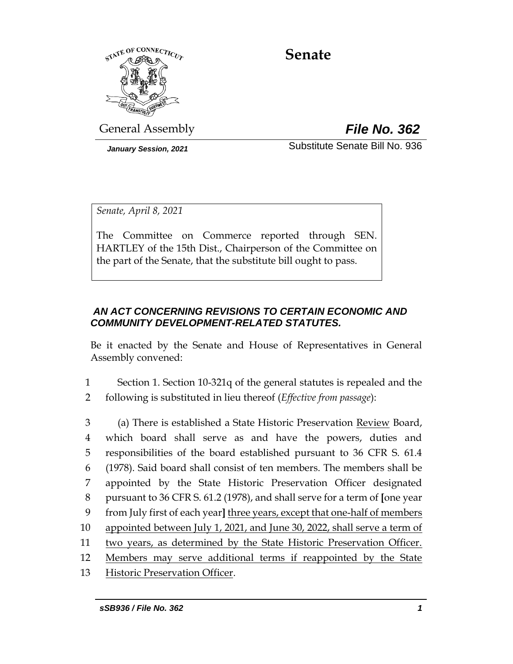

# **Senate**

General Assembly *File No. 362*

*January Session, 2021* Substitute Senate Bill No. 936

*Senate, April 8, 2021*

The Committee on Commerce reported through SEN. HARTLEY of the 15th Dist., Chairperson of the Committee on the part of the Senate, that the substitute bill ought to pass.

# *AN ACT CONCERNING REVISIONS TO CERTAIN ECONOMIC AND COMMUNITY DEVELOPMENT-RELATED STATUTES.*

Be it enacted by the Senate and House of Representatives in General Assembly convened:

1 Section 1. Section 10-321q of the general statutes is repealed and the 2 following is substituted in lieu thereof (*Effective from passage*):

 (a) There is established a State Historic Preservation Review Board, which board shall serve as and have the powers, duties and responsibilities of the board established pursuant to 36 CFR S. 61.4 (1978). Said board shall consist of ten members. The members shall be appointed by the State Historic Preservation Officer designated pursuant to 36 CFR S. 61.2 (1978), and shall serve for a term of **[**one year from July first of each year**]** three years, except that one-half of members appointed between July 1, 2021, and June 30, 2022, shall serve a term of two years, as determined by the State Historic Preservation Officer. Members may serve additional terms if reappointed by the State

13 Historic Preservation Officer.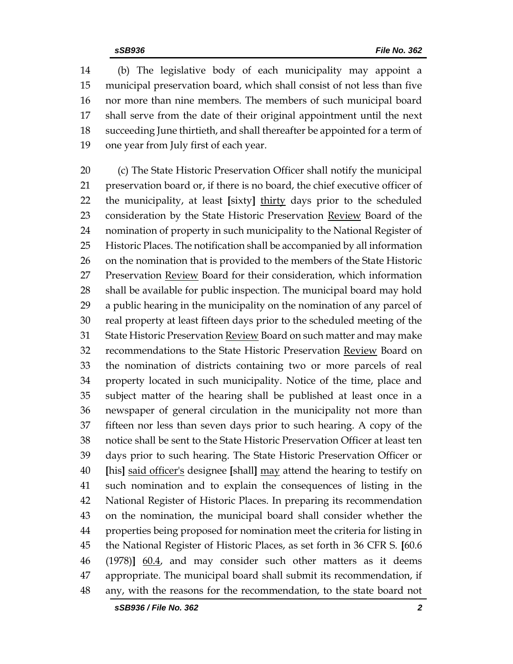(b) The legislative body of each municipality may appoint a municipal preservation board, which shall consist of not less than five nor more than nine members. The members of such municipal board shall serve from the date of their original appointment until the next succeeding June thirtieth, and shall thereafter be appointed for a term of one year from July first of each year.

 (c) The State Historic Preservation Officer shall notify the municipal preservation board or, if there is no board, the chief executive officer of the municipality, at least **[**sixty**]** thirty days prior to the scheduled 23 consideration by the State Historic Preservation Review Board of the nomination of property in such municipality to the National Register of Historic Places. The notification shall be accompanied by all information on the nomination that is provided to the members of the State Historic 27 Preservation Review Board for their consideration, which information shall be available for public inspection. The municipal board may hold a public hearing in the municipality on the nomination of any parcel of real property at least fifteen days prior to the scheduled meeting of the 31 State Historic Preservation Review Board on such matter and may make recommendations to the State Historic Preservation Review Board on the nomination of districts containing two or more parcels of real property located in such municipality. Notice of the time, place and subject matter of the hearing shall be published at least once in a newspaper of general circulation in the municipality not more than fifteen nor less than seven days prior to such hearing. A copy of the notice shall be sent to the State Historic Preservation Officer at least ten days prior to such hearing. The State Historic Preservation Officer or **[**his**]** said officer's designee **[**shall**]** may attend the hearing to testify on such nomination and to explain the consequences of listing in the National Register of Historic Places. In preparing its recommendation on the nomination, the municipal board shall consider whether the properties being proposed for nomination meet the criteria for listing in the National Register of Historic Places, as set forth in 36 CFR S. **[**60.6 (1978)**]** 60.4, and may consider such other matters as it deems appropriate. The municipal board shall submit its recommendation, if any, with the reasons for the recommendation, to the state board not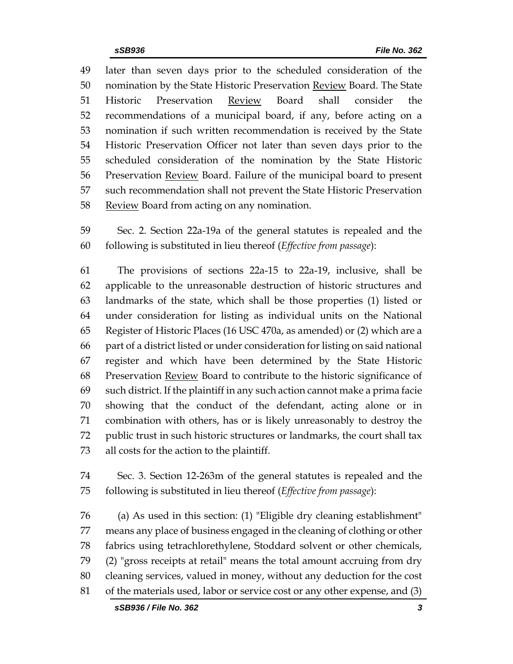later than seven days prior to the scheduled consideration of the nomination by the State Historic Preservation Review Board. The State Historic Preservation Review Board shall consider the recommendations of a municipal board, if any, before acting on a nomination if such written recommendation is received by the State Historic Preservation Officer not later than seven days prior to the scheduled consideration of the nomination by the State Historic Preservation Review Board. Failure of the municipal board to present such recommendation shall not prevent the State Historic Preservation 58 Review Board from acting on any nomination.

 Sec. 2. Section 22a-19a of the general statutes is repealed and the following is substituted in lieu thereof (*Effective from passage*):

 The provisions of sections 22a-15 to 22a-19, inclusive, shall be applicable to the unreasonable destruction of historic structures and landmarks of the state, which shall be those properties (1) listed or under consideration for listing as individual units on the National Register of Historic Places (16 USC 470a, as amended) or (2) which are a part of a district listed or under consideration for listing on said national register and which have been determined by the State Historic 68 Preservation **Review** Board to contribute to the historic significance of such district. If the plaintiff in any such action cannot make a prima facie showing that the conduct of the defendant, acting alone or in combination with others, has or is likely unreasonably to destroy the public trust in such historic structures or landmarks, the court shall tax all costs for the action to the plaintiff.

 Sec. 3. Section 12-263m of the general statutes is repealed and the following is substituted in lieu thereof (*Effective from passage*):

 (a) As used in this section: (1) "Eligible dry cleaning establishment" means any place of business engaged in the cleaning of clothing or other fabrics using tetrachlorethylene, Stoddard solvent or other chemicals, (2) "gross receipts at retail" means the total amount accruing from dry cleaning services, valued in money, without any deduction for the cost of the materials used, labor or service cost or any other expense, and (3)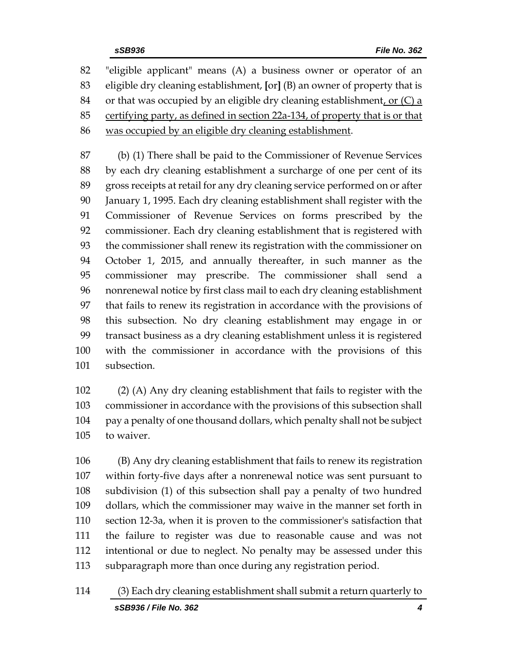"eligible applicant" means (A) a business owner or operator of an eligible dry cleaning establishment, **[**or**]** (B) an owner of property that is 84 or that was occupied by an eligible dry cleaning establishment, or  $(C)$  a certifying party, as defined in section 22a-134, of property that is or that was occupied by an eligible dry cleaning establishment.

 (b) (1) There shall be paid to the Commissioner of Revenue Services by each dry cleaning establishment a surcharge of one per cent of its gross receipts at retail for any dry cleaning service performed on or after January 1, 1995. Each dry cleaning establishment shall register with the Commissioner of Revenue Services on forms prescribed by the commissioner. Each dry cleaning establishment that is registered with the commissioner shall renew its registration with the commissioner on October 1, 2015, and annually thereafter, in such manner as the commissioner may prescribe. The commissioner shall send a nonrenewal notice by first class mail to each dry cleaning establishment that fails to renew its registration in accordance with the provisions of this subsection. No dry cleaning establishment may engage in or transact business as a dry cleaning establishment unless it is registered with the commissioner in accordance with the provisions of this subsection.

 (2) (A) Any dry cleaning establishment that fails to register with the commissioner in accordance with the provisions of this subsection shall pay a penalty of one thousand dollars, which penalty shall not be subject to waiver.

 (B) Any dry cleaning establishment that fails to renew its registration within forty-five days after a nonrenewal notice was sent pursuant to subdivision (1) of this subsection shall pay a penalty of two hundred dollars, which the commissioner may waive in the manner set forth in section 12-3a, when it is proven to the commissioner's satisfaction that the failure to register was due to reasonable cause and was not intentional or due to neglect. No penalty may be assessed under this subparagraph more than once during any registration period.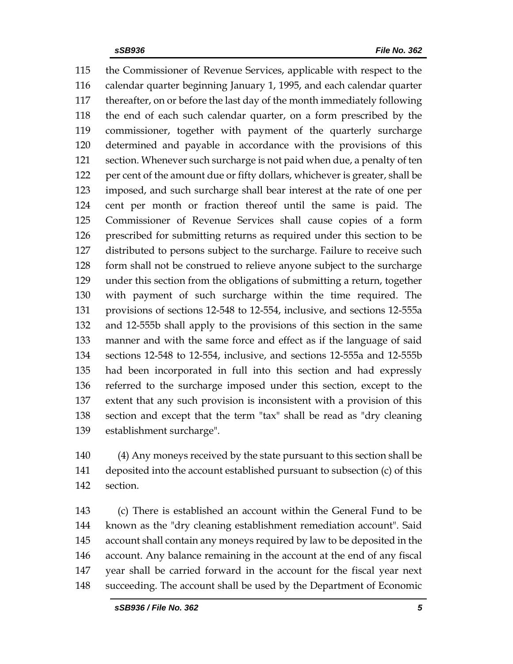the Commissioner of Revenue Services, applicable with respect to the calendar quarter beginning January 1, 1995, and each calendar quarter thereafter, on or before the last day of the month immediately following the end of each such calendar quarter, on a form prescribed by the commissioner, together with payment of the quarterly surcharge determined and payable in accordance with the provisions of this section. Whenever such surcharge is not paid when due, a penalty of ten per cent of the amount due or fifty dollars, whichever is greater, shall be imposed, and such surcharge shall bear interest at the rate of one per cent per month or fraction thereof until the same is paid. The Commissioner of Revenue Services shall cause copies of a form prescribed for submitting returns as required under this section to be distributed to persons subject to the surcharge. Failure to receive such form shall not be construed to relieve anyone subject to the surcharge under this section from the obligations of submitting a return, together with payment of such surcharge within the time required. The provisions of sections 12-548 to 12-554, inclusive, and sections 12-555a and 12-555b shall apply to the provisions of this section in the same manner and with the same force and effect as if the language of said sections 12-548 to 12-554, inclusive, and sections 12-555a and 12-555b had been incorporated in full into this section and had expressly referred to the surcharge imposed under this section, except to the extent that any such provision is inconsistent with a provision of this section and except that the term "tax" shall be read as "dry cleaning establishment surcharge".

 (4) Any moneys received by the state pursuant to this section shall be deposited into the account established pursuant to subsection (c) of this section.

 (c) There is established an account within the General Fund to be known as the "dry cleaning establishment remediation account". Said account shall contain any moneys required by law to be deposited in the account. Any balance remaining in the account at the end of any fiscal year shall be carried forward in the account for the fiscal year next succeeding. The account shall be used by the Department of Economic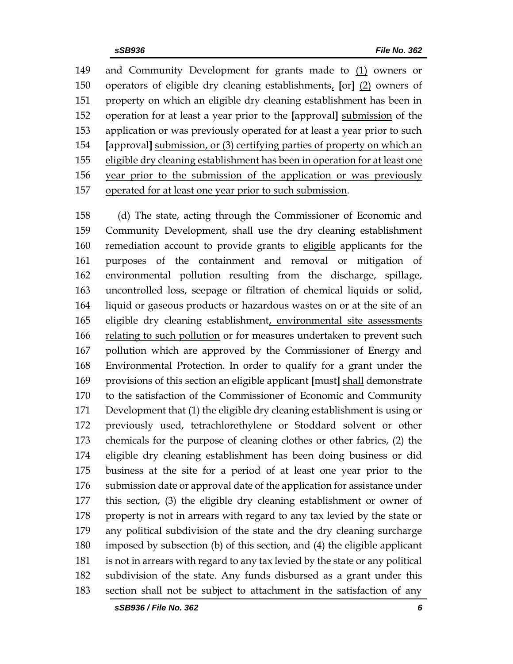and Community Development for grants made to (1) owners or operators of eligible dry cleaning establishments, **[**or**]** (2) owners of property on which an eligible dry cleaning establishment has been in operation for at least a year prior to the **[**approval**]** submission of the application or was previously operated for at least a year prior to such **[**approval**]** submission, or (3) certifying parties of property on which an eligible dry cleaning establishment has been in operation for at least one year prior to the submission of the application or was previously operated for at least one year prior to such submission.

 (d) The state, acting through the Commissioner of Economic and Community Development, shall use the dry cleaning establishment remediation account to provide grants to eligible applicants for the purposes of the containment and removal or mitigation of environmental pollution resulting from the discharge, spillage, uncontrolled loss, seepage or filtration of chemical liquids or solid, liquid or gaseous products or hazardous wastes on or at the site of an eligible dry cleaning establishment, environmental site assessments relating to such pollution or for measures undertaken to prevent such pollution which are approved by the Commissioner of Energy and Environmental Protection. In order to qualify for a grant under the provisions of this section an eligible applicant **[**must**]** shall demonstrate to the satisfaction of the Commissioner of Economic and Community Development that (1) the eligible dry cleaning establishment is using or previously used, tetrachlorethylene or Stoddard solvent or other chemicals for the purpose of cleaning clothes or other fabrics, (2) the eligible dry cleaning establishment has been doing business or did business at the site for a period of at least one year prior to the submission date or approval date of the application for assistance under this section, (3) the eligible dry cleaning establishment or owner of property is not in arrears with regard to any tax levied by the state or any political subdivision of the state and the dry cleaning surcharge imposed by subsection (b) of this section, and (4) the eligible applicant is not in arrears with regard to any tax levied by the state or any political subdivision of the state. Any funds disbursed as a grant under this section shall not be subject to attachment in the satisfaction of any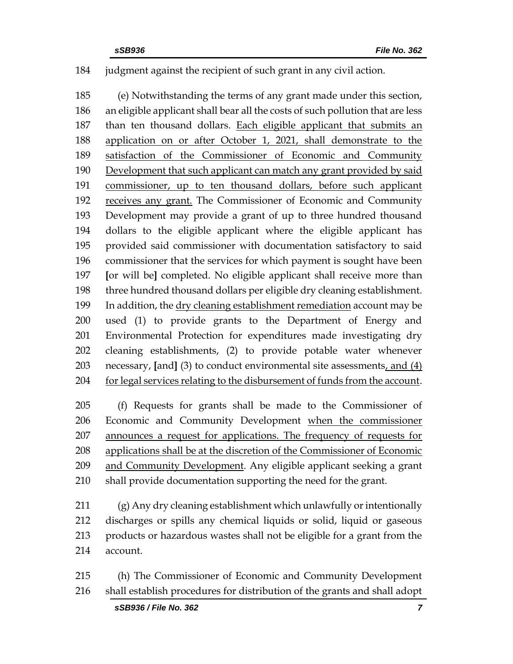#### judgment against the recipient of such grant in any civil action.

 (e) Notwithstanding the terms of any grant made under this section, an eligible applicant shall bear all the costs of such pollution that are less than ten thousand dollars. Each eligible applicant that submits an application on or after October 1, 2021, shall demonstrate to the satisfaction of the Commissioner of Economic and Community Development that such applicant can match any grant provided by said commissioner, up to ten thousand dollars, before such applicant receives any grant. The Commissioner of Economic and Community Development may provide a grant of up to three hundred thousand dollars to the eligible applicant where the eligible applicant has provided said commissioner with documentation satisfactory to said commissioner that the services for which payment is sought have been **[**or will be**]** completed. No eligible applicant shall receive more than three hundred thousand dollars per eligible dry cleaning establishment. In addition, the dry cleaning establishment remediation account may be used (1) to provide grants to the Department of Energy and Environmental Protection for expenditures made investigating dry cleaning establishments, (2) to provide potable water whenever necessary, **[**and**]** (3) to conduct environmental site assessments, and (4) for legal services relating to the disbursement of funds from the account.

 (f) Requests for grants shall be made to the Commissioner of Economic and Community Development when the commissioner announces a request for applications. The frequency of requests for applications shall be at the discretion of the Commissioner of Economic and Community Development. Any eligible applicant seeking a grant shall provide documentation supporting the need for the grant.

 (g) Any dry cleaning establishment which unlawfully or intentionally discharges or spills any chemical liquids or solid, liquid or gaseous products or hazardous wastes shall not be eligible for a grant from the account.

 (h) The Commissioner of Economic and Community Development shall establish procedures for distribution of the grants and shall adopt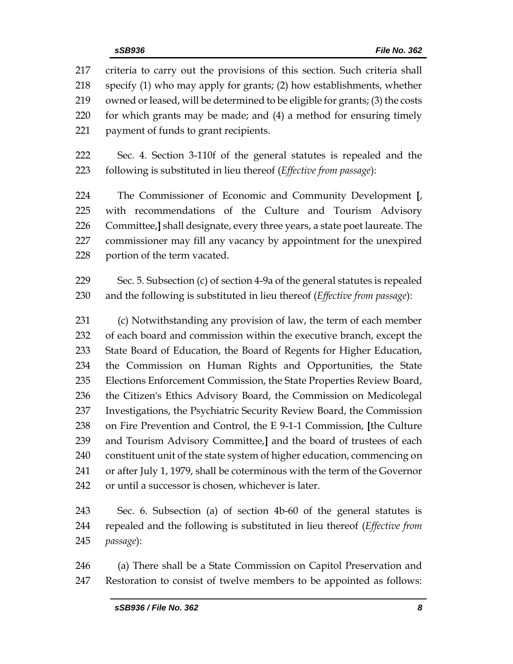criteria to carry out the provisions of this section. Such criteria shall specify (1) who may apply for grants; (2) how establishments, whether owned or leased, will be determined to be eligible for grants; (3) the costs for which grants may be made; and (4) a method for ensuring timely payment of funds to grant recipients.

 Sec. 4. Section 3-110f of the general statutes is repealed and the following is substituted in lieu thereof (*Effective from passage*):

 The Commissioner of Economic and Community Development **[**, with recommendations of the Culture and Tourism Advisory Committee,**]** shall designate, every three years, a state poet laureate. The commissioner may fill any vacancy by appointment for the unexpired portion of the term vacated.

 Sec. 5. Subsection (c) of section 4-9a of the general statutes is repealed and the following is substituted in lieu thereof (*Effective from passage*):

 (c) Notwithstanding any provision of law, the term of each member of each board and commission within the executive branch, except the State Board of Education, the Board of Regents for Higher Education, the Commission on Human Rights and Opportunities, the State Elections Enforcement Commission, the State Properties Review Board, the Citizen's Ethics Advisory Board, the Commission on Medicolegal Investigations, the Psychiatric Security Review Board, the Commission on Fire Prevention and Control, the E 9-1-1 Commission, **[**the Culture and Tourism Advisory Committee,**]** and the board of trustees of each constituent unit of the state system of higher education, commencing on or after July 1, 1979, shall be coterminous with the term of the Governor or until a successor is chosen, whichever is later.

 Sec. 6. Subsection (a) of section 4b-60 of the general statutes is repealed and the following is substituted in lieu thereof (*Effective from passage*):

 (a) There shall be a State Commission on Capitol Preservation and Restoration to consist of twelve members to be appointed as follows: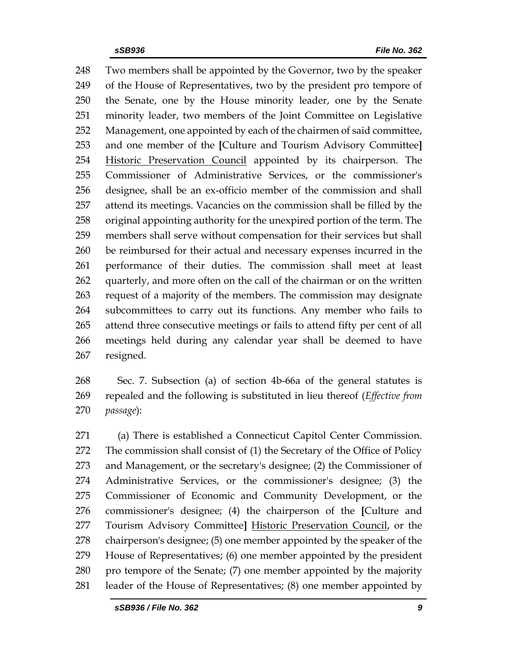Two members shall be appointed by the Governor, two by the speaker of the House of Representatives, two by the president pro tempore of the Senate, one by the House minority leader, one by the Senate minority leader, two members of the Joint Committee on Legislative Management, one appointed by each of the chairmen of said committee, and one member of the **[**Culture and Tourism Advisory Committee**]** 254 Historic Preservation Council appointed by its chairperson. The Commissioner of Administrative Services, or the commissioner's designee, shall be an ex-officio member of the commission and shall attend its meetings. Vacancies on the commission shall be filled by the original appointing authority for the unexpired portion of the term. The members shall serve without compensation for their services but shall be reimbursed for their actual and necessary expenses incurred in the performance of their duties. The commission shall meet at least 262 quarterly, and more often on the call of the chairman or on the written request of a majority of the members. The commission may designate subcommittees to carry out its functions. Any member who fails to attend three consecutive meetings or fails to attend fifty per cent of all meetings held during any calendar year shall be deemed to have resigned.

- Sec. 7. Subsection (a) of section 4b-66a of the general statutes is repealed and the following is substituted in lieu thereof (*Effective from passage*):
- (a) There is established a Connecticut Capitol Center Commission. The commission shall consist of (1) the Secretary of the Office of Policy and Management, or the secretary's designee; (2) the Commissioner of Administrative Services, or the commissioner's designee; (3) the Commissioner of Economic and Community Development, or the commissioner's designee; (4) the chairperson of the **[**Culture and Tourism Advisory Committee**]** Historic Preservation Council, or the chairperson's designee; (5) one member appointed by the speaker of the House of Representatives; (6) one member appointed by the president pro tempore of the Senate; (7) one member appointed by the majority leader of the House of Representatives; (8) one member appointed by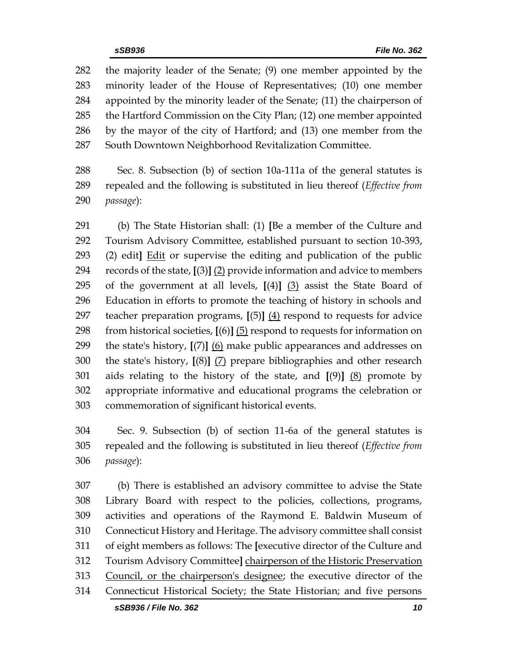the majority leader of the Senate; (9) one member appointed by the minority leader of the House of Representatives; (10) one member appointed by the minority leader of the Senate; (11) the chairperson of the Hartford Commission on the City Plan; (12) one member appointed by the mayor of the city of Hartford; and (13) one member from the South Downtown Neighborhood Revitalization Committee.

 Sec. 8. Subsection (b) of section 10a-111a of the general statutes is repealed and the following is substituted in lieu thereof (*Effective from passage*):

 (b) The State Historian shall: (1) **[**Be a member of the Culture and Tourism Advisory Committee, established pursuant to section 10-393, (2) edit**]** Edit or supervise the editing and publication of the public records of the state, **[**(3)**]** (2) provide information and advice to members of the government at all levels, **[**(4)**]** (3) assist the State Board of Education in efforts to promote the teaching of history in schools and teacher preparation programs, **[**(5)**]** (4) respond to requests for advice from historical societies, **[**(6)**]** (5) respond to requests for information on the state's history, **[**(7)**]** (6) make public appearances and addresses on the state's history, **[**(8)**]** (7) prepare bibliographies and other research aids relating to the history of the state, and **[**(9)**]** (8) promote by appropriate informative and educational programs the celebration or commemoration of significant historical events.

 Sec. 9. Subsection (b) of section 11-6a of the general statutes is repealed and the following is substituted in lieu thereof (*Effective from passage*):

 (b) There is established an advisory committee to advise the State Library Board with respect to the policies, collections, programs, activities and operations of the Raymond E. Baldwin Museum of Connecticut History and Heritage. The advisory committee shall consist of eight members as follows: The **[**executive director of the Culture and Tourism Advisory Committee**]** chairperson of the Historic Preservation 313 Council, or the chairperson's designee; the executive director of the Connecticut Historical Society; the State Historian; and five persons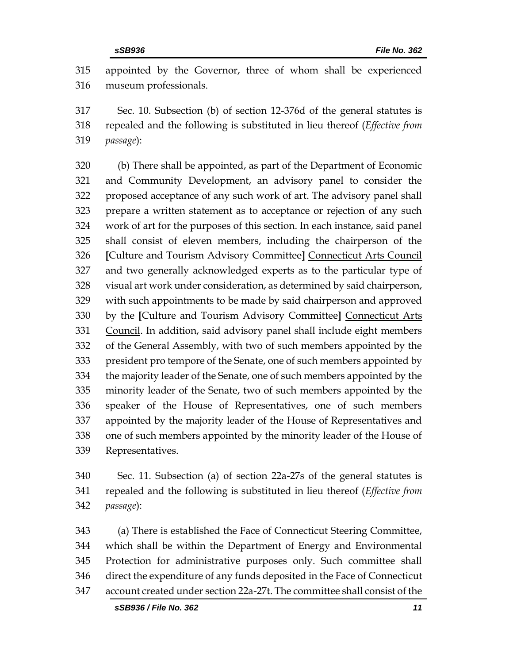appointed by the Governor, three of whom shall be experienced museum professionals.

 Sec. 10. Subsection (b) of section 12-376d of the general statutes is repealed and the following is substituted in lieu thereof (*Effective from passage*):

 (b) There shall be appointed, as part of the Department of Economic and Community Development, an advisory panel to consider the proposed acceptance of any such work of art. The advisory panel shall prepare a written statement as to acceptance or rejection of any such work of art for the purposes of this section. In each instance, said panel shall consist of eleven members, including the chairperson of the **[**Culture and Tourism Advisory Committee**]** Connecticut Arts Council and two generally acknowledged experts as to the particular type of visual art work under consideration, as determined by said chairperson, with such appointments to be made by said chairperson and approved by the **[**Culture and Tourism Advisory Committee**]** Connecticut Arts Council. In addition, said advisory panel shall include eight members of the General Assembly, with two of such members appointed by the president pro tempore of the Senate, one of such members appointed by the majority leader of the Senate, one of such members appointed by the minority leader of the Senate, two of such members appointed by the speaker of the House of Representatives, one of such members appointed by the majority leader of the House of Representatives and one of such members appointed by the minority leader of the House of Representatives.

 Sec. 11. Subsection (a) of section 22a-27s of the general statutes is repealed and the following is substituted in lieu thereof (*Effective from passage*):

 (a) There is established the Face of Connecticut Steering Committee, which shall be within the Department of Energy and Environmental Protection for administrative purposes only. Such committee shall direct the expenditure of any funds deposited in the Face of Connecticut account created under section 22a-27t. The committee shall consist of the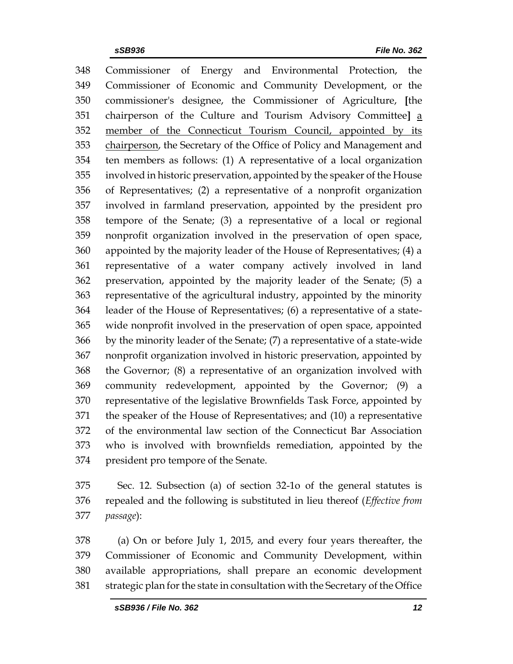Commissioner of Energy and Environmental Protection, the Commissioner of Economic and Community Development, or the commissioner's designee, the Commissioner of Agriculture, **[**the chairperson of the Culture and Tourism Advisory Committee**]** a member of the Connecticut Tourism Council, appointed by its 353 chairperson, the Secretary of the Office of Policy and Management and ten members as follows: (1) A representative of a local organization involved in historic preservation, appointed by the speaker of the House of Representatives; (2) a representative of a nonprofit organization involved in farmland preservation, appointed by the president pro tempore of the Senate; (3) a representative of a local or regional nonprofit organization involved in the preservation of open space, appointed by the majority leader of the House of Representatives; (4) a representative of a water company actively involved in land preservation, appointed by the majority leader of the Senate; (5) a representative of the agricultural industry, appointed by the minority leader of the House of Representatives; (6) a representative of a state- wide nonprofit involved in the preservation of open space, appointed by the minority leader of the Senate; (7) a representative of a state-wide nonprofit organization involved in historic preservation, appointed by the Governor; (8) a representative of an organization involved with community redevelopment, appointed by the Governor; (9) a representative of the legislative Brownfields Task Force, appointed by the speaker of the House of Representatives; and (10) a representative of the environmental law section of the Connecticut Bar Association who is involved with brownfields remediation, appointed by the president pro tempore of the Senate.

 Sec. 12. Subsection (a) of section 32-1o of the general statutes is repealed and the following is substituted in lieu thereof (*Effective from passage*):

 (a) On or before July 1, 2015, and every four years thereafter, the Commissioner of Economic and Community Development, within available appropriations, shall prepare an economic development strategic plan for the state in consultation with the Secretary of the Office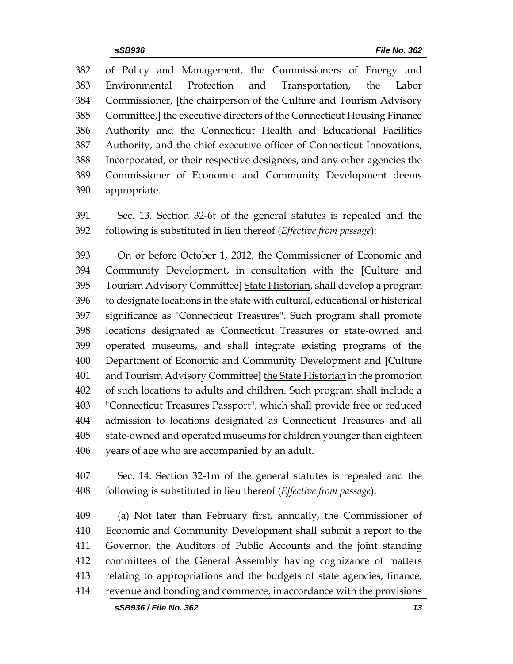of Policy and Management, the Commissioners of Energy and Environmental Protection and Transportation, the Labor Commissioner, **[**the chairperson of the Culture and Tourism Advisory Committee,**]** the executive directors of the Connecticut Housing Finance Authority and the Connecticut Health and Educational Facilities Authority, and the chief executive officer of Connecticut Innovations, Incorporated, or their respective designees, and any other agencies the Commissioner of Economic and Community Development deems appropriate.

 Sec. 13. Section 32-6t of the general statutes is repealed and the following is substituted in lieu thereof (*Effective from passage*):

 On or before October 1, 2012, the Commissioner of Economic and Community Development, in consultation with the **[**Culture and Tourism Advisory Committee**]** State Historian, shall develop a program to designate locations in the state with cultural, educational or historical significance as "Connecticut Treasures". Such program shall promote locations designated as Connecticut Treasures or state-owned and operated museums, and shall integrate existing programs of the Department of Economic and Community Development and **[**Culture and Tourism Advisory Committee**]** the State Historian in the promotion of such locations to adults and children. Such program shall include a "Connecticut Treasures Passport", which shall provide free or reduced admission to locations designated as Connecticut Treasures and all state-owned and operated museums for children younger than eighteen years of age who are accompanied by an adult.

 Sec. 14. Section 32-1m of the general statutes is repealed and the following is substituted in lieu thereof (*Effective from passage*):

 (a) Not later than February first, annually, the Commissioner of Economic and Community Development shall submit a report to the Governor, the Auditors of Public Accounts and the joint standing committees of the General Assembly having cognizance of matters relating to appropriations and the budgets of state agencies, finance, revenue and bonding and commerce, in accordance with the provisions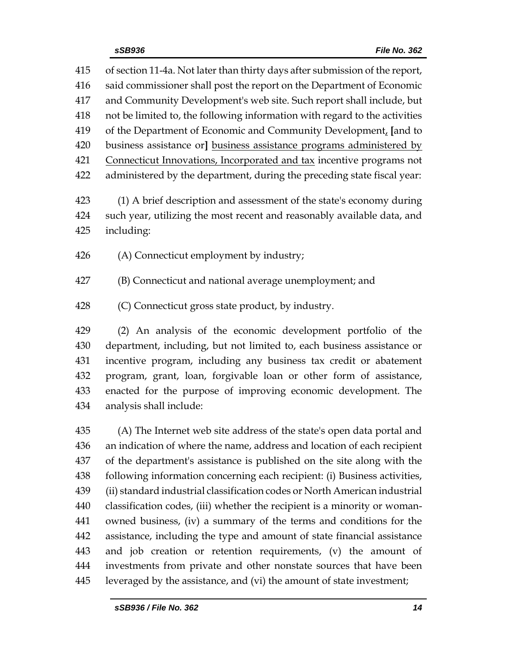| 415 | of section 11-4a. Not later than thirty days after submission of the report, |  |  |  |
|-----|------------------------------------------------------------------------------|--|--|--|
| 416 | said commissioner shall post the report on the Department of Economic        |  |  |  |
| 417 | and Community Development's web site. Such report shall include, but         |  |  |  |
| 418 | not be limited to, the following information with regard to the activities   |  |  |  |
| 419 | of the Department of Economic and Community Development, [and to             |  |  |  |
| 420 | business assistance or] business assistance programs administered by         |  |  |  |
| 421 | Connecticut Innovations, Incorporated and tax incentive programs not         |  |  |  |
| 422 | administered by the department, during the preceding state fiscal year:      |  |  |  |
| 423 | (1) A brief description and assessment of the state's economy during         |  |  |  |
| 424 | such year, utilizing the most recent and reasonably available data, and      |  |  |  |
| 425 | including:                                                                   |  |  |  |
| 426 | (A) Connecticut employment by industry;                                      |  |  |  |
| 427 | (B) Connecticut and national average unemployment; and                       |  |  |  |
| 428 | (C) Connecticut gross state product, by industry.                            |  |  |  |
| 429 | (2) An analysis of the economic development portfolio of the                 |  |  |  |
| 430 | department, including, but not limited to, each business assistance or       |  |  |  |
| 431 | incentive program, including any business tax credit or abatement            |  |  |  |
| 432 | program, grant, loan, forgivable loan or other form of assistance,           |  |  |  |
| 433 | enacted for the purpose of improving economic development. The               |  |  |  |
| 434 | analysis shall include:                                                      |  |  |  |
| 435 | (A) The Internet web site address of the state's open data portal and        |  |  |  |
| 436 | an indication of where the name, address and location of each recipient      |  |  |  |
| 437 | of the department's assistance is published on the site along with the       |  |  |  |
| 438 | following information concerning each recipient: (i) Business activities,    |  |  |  |
| 439 | (ii) standard industrial classification codes or North American industrial   |  |  |  |
| 440 | classification codes, (iii) whether the recipient is a minority or woman-    |  |  |  |
| 441 | owned business, (iv) a summary of the terms and conditions for the           |  |  |  |
| 442 | assistance, including the type and amount of state financial assistance      |  |  |  |
| 443 | and job creation or retention requirements, (v) the amount of                |  |  |  |
| 444 | investments from private and other nonstate sources that have been           |  |  |  |

leveraged by the assistance, and (vi) the amount of state investment;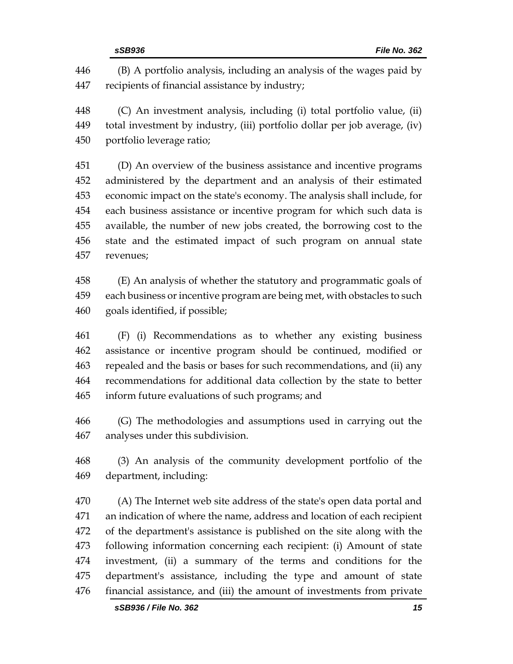(B) A portfolio analysis, including an analysis of the wages paid by recipients of financial assistance by industry;

 (C) An investment analysis, including (i) total portfolio value, (ii) total investment by industry, (iii) portfolio dollar per job average, (iv) portfolio leverage ratio;

 (D) An overview of the business assistance and incentive programs administered by the department and an analysis of their estimated economic impact on the state's economy. The analysis shall include, for each business assistance or incentive program for which such data is available, the number of new jobs created, the borrowing cost to the state and the estimated impact of such program on annual state revenues;

 (E) An analysis of whether the statutory and programmatic goals of each business or incentive program are being met, with obstacles to such goals identified, if possible;

 (F) (i) Recommendations as to whether any existing business assistance or incentive program should be continued, modified or repealed and the basis or bases for such recommendations, and (ii) any recommendations for additional data collection by the state to better inform future evaluations of such programs; and

 (G) The methodologies and assumptions used in carrying out the analyses under this subdivision.

 (3) An analysis of the community development portfolio of the department, including:

 (A) The Internet web site address of the state's open data portal and an indication of where the name, address and location of each recipient of the department's assistance is published on the site along with the following information concerning each recipient: (i) Amount of state investment, (ii) a summary of the terms and conditions for the department's assistance, including the type and amount of state financial assistance, and (iii) the amount of investments from private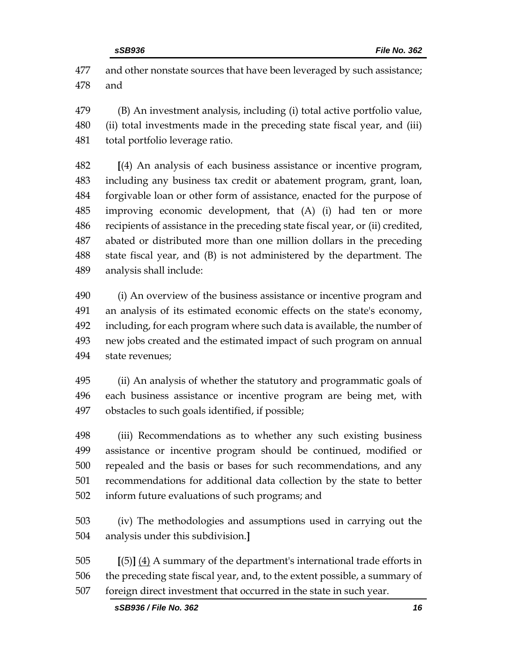and other nonstate sources that have been leveraged by such assistance; and

 (B) An investment analysis, including (i) total active portfolio value, (ii) total investments made in the preceding state fiscal year, and (iii) total portfolio leverage ratio.

 **[**(4) An analysis of each business assistance or incentive program, including any business tax credit or abatement program, grant, loan, forgivable loan or other form of assistance, enacted for the purpose of improving economic development, that (A) (i) had ten or more recipients of assistance in the preceding state fiscal year, or (ii) credited, abated or distributed more than one million dollars in the preceding state fiscal year, and (B) is not administered by the department. The analysis shall include:

 (i) An overview of the business assistance or incentive program and an analysis of its estimated economic effects on the state's economy, including, for each program where such data is available, the number of new jobs created and the estimated impact of such program on annual state revenues;

 (ii) An analysis of whether the statutory and programmatic goals of each business assistance or incentive program are being met, with obstacles to such goals identified, if possible;

 (iii) Recommendations as to whether any such existing business assistance or incentive program should be continued, modified or repealed and the basis or bases for such recommendations, and any recommendations for additional data collection by the state to better inform future evaluations of such programs; and

 (iv) The methodologies and assumptions used in carrying out the analysis under this subdivision.**]**

 **[**(5)**]** (4) A summary of the department's international trade efforts in the preceding state fiscal year, and, to the extent possible, a summary of foreign direct investment that occurred in the state in such year.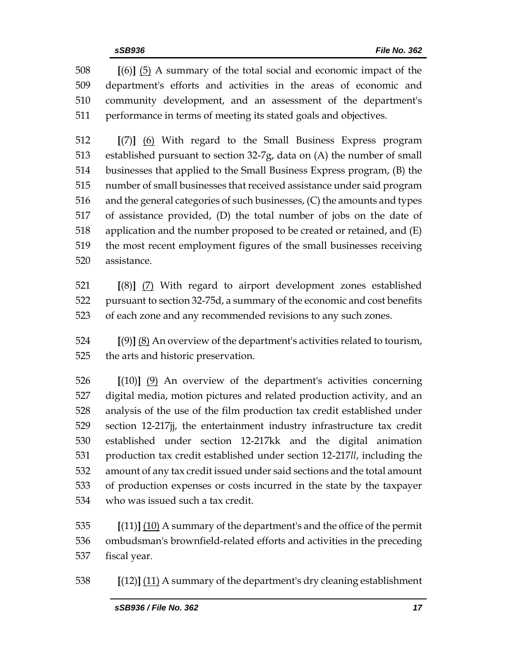**[**(6)**]** (5) A summary of the total social and economic impact of the department's efforts and activities in the areas of economic and community development, and an assessment of the department's performance in terms of meeting its stated goals and objectives.

 **[**(7)**]** (6) With regard to the Small Business Express program established pursuant to section 32-7g, data on (A) the number of small businesses that applied to the Small Business Express program, (B) the number of small businesses that received assistance under said program and the general categories of such businesses, (C) the amounts and types of assistance provided, (D) the total number of jobs on the date of application and the number proposed to be created or retained, and (E) the most recent employment figures of the small businesses receiving assistance.

 **[**(8)**]** (7) With regard to airport development zones established pursuant to section 32-75d, a summary of the economic and cost benefits of each zone and any recommended revisions to any such zones.

 **[**(9)**]** (8) An overview of the department's activities related to tourism, the arts and historic preservation.

 **[**(10)**]** (9) An overview of the department's activities concerning digital media, motion pictures and related production activity, and an analysis of the use of the film production tax credit established under section 12-217jj, the entertainment industry infrastructure tax credit established under section 12-217kk and the digital animation production tax credit established under section 12-217*ll*, including the amount of any tax credit issued under said sections and the total amount of production expenses or costs incurred in the state by the taxpayer who was issued such a tax credit.

 **[**(11)**]** (10) A summary of the department's and the office of the permit ombudsman's brownfield-related efforts and activities in the preceding fiscal year.

**[**(12)**]** (11) A summary of the department's dry cleaning establishment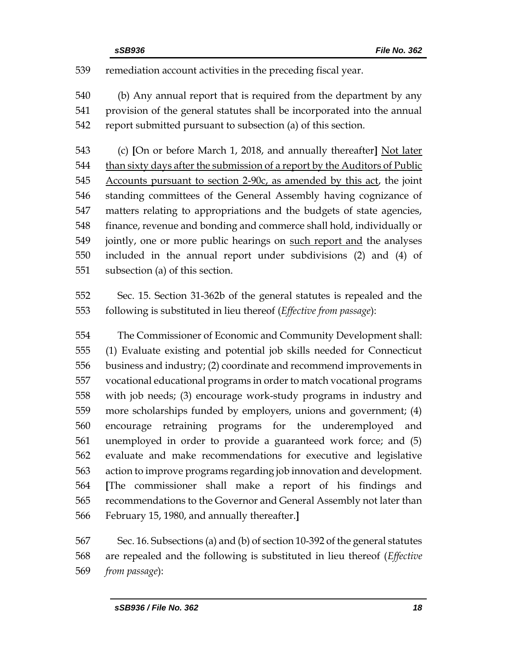remediation account activities in the preceding fiscal year.

 (b) Any annual report that is required from the department by any provision of the general statutes shall be incorporated into the annual report submitted pursuant to subsection (a) of this section.

 (c) **[**On or before March 1, 2018, and annually thereafter**]** Not later 544 than sixty days after the submission of a report by the Auditors of Public Accounts pursuant to section 2-90c, as amended by this act, the joint standing committees of the General Assembly having cognizance of matters relating to appropriations and the budgets of state agencies, finance, revenue and bonding and commerce shall hold, individually or jointly, one or more public hearings on such report and the analyses included in the annual report under subdivisions (2) and (4) of subsection (a) of this section.

 Sec. 15. Section 31-362b of the general statutes is repealed and the following is substituted in lieu thereof (*Effective from passage*):

 The Commissioner of Economic and Community Development shall: (1) Evaluate existing and potential job skills needed for Connecticut business and industry; (2) coordinate and recommend improvements in vocational educational programs in order to match vocational programs with job needs; (3) encourage work-study programs in industry and more scholarships funded by employers, unions and government; (4) encourage retraining programs for the underemployed and unemployed in order to provide a guaranteed work force; and (5) evaluate and make recommendations for executive and legislative action to improve programs regarding job innovation and development. **[**The commissioner shall make a report of his findings and recommendations to the Governor and General Assembly not later than February 15, 1980, and annually thereafter.**]**

 Sec. 16. Subsections (a) and (b) of section 10-392 of the general statutes are repealed and the following is substituted in lieu thereof (*Effective from passage*):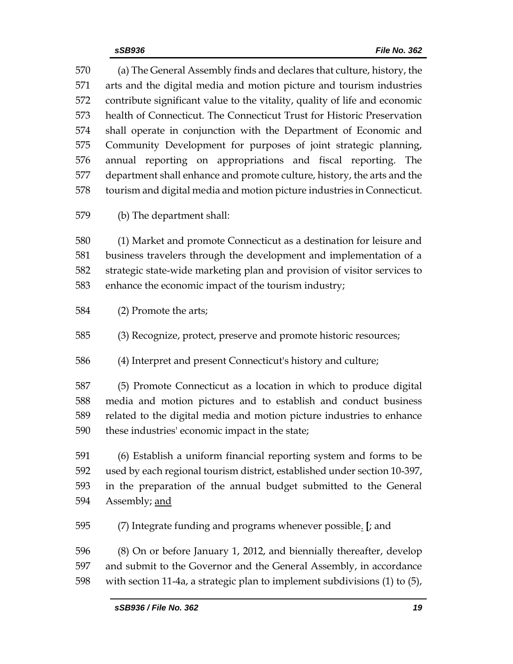(a) The General Assembly finds and declares that culture, history, the arts and the digital media and motion picture and tourism industries contribute significant value to the vitality, quality of life and economic health of Connecticut. The Connecticut Trust for Historic Preservation shall operate in conjunction with the Department of Economic and Community Development for purposes of joint strategic planning, annual reporting on appropriations and fiscal reporting. The department shall enhance and promote culture, history, the arts and the tourism and digital media and motion picture industries in Connecticut.

(b) The department shall:

 (1) Market and promote Connecticut as a destination for leisure and business travelers through the development and implementation of a strategic state-wide marketing plan and provision of visitor services to enhance the economic impact of the tourism industry;

(2) Promote the arts;

(3) Recognize, protect, preserve and promote historic resources;

(4) Interpret and present Connecticut's history and culture;

 (5) Promote Connecticut as a location in which to produce digital media and motion pictures and to establish and conduct business related to the digital media and motion picture industries to enhance these industries' economic impact in the state;

 (6) Establish a uniform financial reporting system and forms to be used by each regional tourism district, established under section 10-397, in the preparation of the annual budget submitted to the General Assembly; and

(7) Integrate funding and programs whenever possible. **[**; and

 (8) On or before January 1, 2012, and biennially thereafter, develop and submit to the Governor and the General Assembly, in accordance with section 11-4a, a strategic plan to implement subdivisions (1) to (5),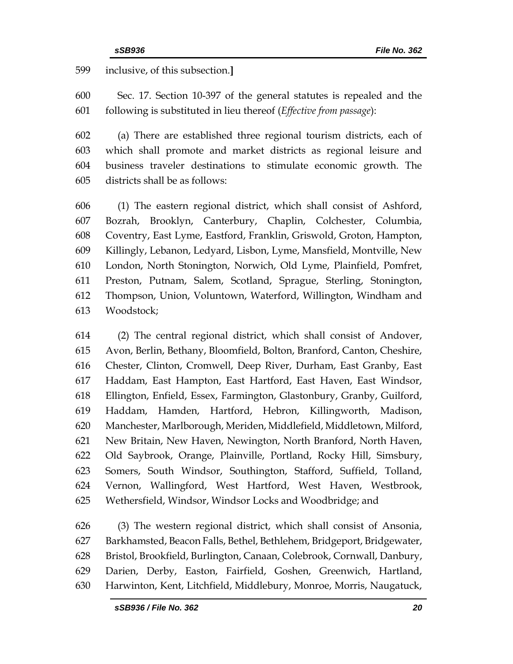inclusive, of this subsection.**]**

 Sec. 17. Section 10-397 of the general statutes is repealed and the following is substituted in lieu thereof (*Effective from passage*):

 (a) There are established three regional tourism districts, each of which shall promote and market districts as regional leisure and business traveler destinations to stimulate economic growth. The districts shall be as follows:

 (1) The eastern regional district, which shall consist of Ashford, Bozrah, Brooklyn, Canterbury, Chaplin, Colchester, Columbia, Coventry, East Lyme, Eastford, Franklin, Griswold, Groton, Hampton, Killingly, Lebanon, Ledyard, Lisbon, Lyme, Mansfield, Montville, New London, North Stonington, Norwich, Old Lyme, Plainfield, Pomfret, Preston, Putnam, Salem, Scotland, Sprague, Sterling, Stonington, Thompson, Union, Voluntown, Waterford, Willington, Windham and Woodstock;

 (2) The central regional district, which shall consist of Andover, Avon, Berlin, Bethany, Bloomfield, Bolton, Branford, Canton, Cheshire, Chester, Clinton, Cromwell, Deep River, Durham, East Granby, East Haddam, East Hampton, East Hartford, East Haven, East Windsor, Ellington, Enfield, Essex, Farmington, Glastonbury, Granby, Guilford, Haddam, Hamden, Hartford, Hebron, Killingworth, Madison, Manchester, Marlborough, Meriden, Middlefield, Middletown, Milford, New Britain, New Haven, Newington, North Branford, North Haven, Old Saybrook, Orange, Plainville, Portland, Rocky Hill, Simsbury, Somers, South Windsor, Southington, Stafford, Suffield, Tolland, Vernon, Wallingford, West Hartford, West Haven, Westbrook, Wethersfield, Windsor, Windsor Locks and Woodbridge; and

 (3) The western regional district, which shall consist of Ansonia, Barkhamsted, Beacon Falls, Bethel, Bethlehem, Bridgeport, Bridgewater, Bristol, Brookfield, Burlington, Canaan, Colebrook, Cornwall, Danbury, Darien, Derby, Easton, Fairfield, Goshen, Greenwich, Hartland, Harwinton, Kent, Litchfield, Middlebury, Monroe, Morris, Naugatuck,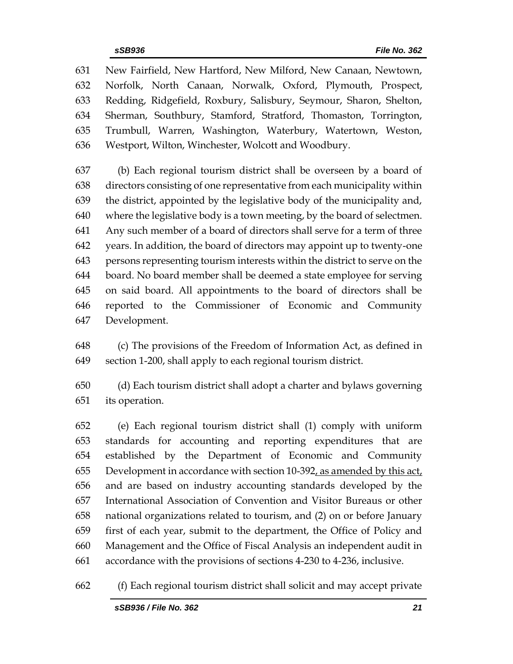New Fairfield, New Hartford, New Milford, New Canaan, Newtown, Norfolk, North Canaan, Norwalk, Oxford, Plymouth, Prospect, Redding, Ridgefield, Roxbury, Salisbury, Seymour, Sharon, Shelton, Sherman, Southbury, Stamford, Stratford, Thomaston, Torrington, Trumbull, Warren, Washington, Waterbury, Watertown, Weston, Westport, Wilton, Winchester, Wolcott and Woodbury.

 (b) Each regional tourism district shall be overseen by a board of directors consisting of one representative from each municipality within the district, appointed by the legislative body of the municipality and, where the legislative body is a town meeting, by the board of selectmen. Any such member of a board of directors shall serve for a term of three years. In addition, the board of directors may appoint up to twenty-one persons representing tourism interests within the district to serve on the board. No board member shall be deemed a state employee for serving on said board. All appointments to the board of directors shall be reported to the Commissioner of Economic and Community Development.

 (c) The provisions of the Freedom of Information Act, as defined in section 1-200, shall apply to each regional tourism district.

 (d) Each tourism district shall adopt a charter and bylaws governing its operation.

 (e) Each regional tourism district shall (1) comply with uniform standards for accounting and reporting expenditures that are established by the Department of Economic and Community Development in accordance with section 10-392, as amended by this act, and are based on industry accounting standards developed by the International Association of Convention and Visitor Bureaus or other national organizations related to tourism, and (2) on or before January first of each year, submit to the department, the Office of Policy and Management and the Office of Fiscal Analysis an independent audit in accordance with the provisions of sections 4-230 to 4-236, inclusive.

(f) Each regional tourism district shall solicit and may accept private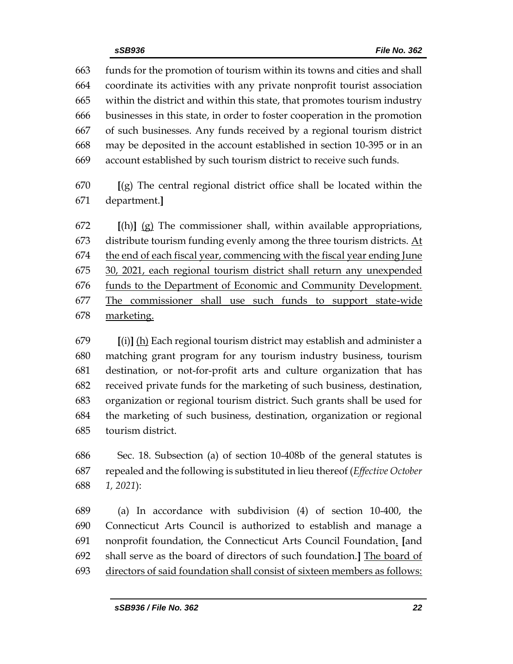funds for the promotion of tourism within its towns and cities and shall coordinate its activities with any private nonprofit tourist association within the district and within this state, that promotes tourism industry businesses in this state, in order to foster cooperation in the promotion of such businesses. Any funds received by a regional tourism district may be deposited in the account established in section 10-395 or in an account established by such tourism district to receive such funds.

 **[**(g) The central regional district office shall be located within the department.**]**

 **[**(h)**]** (g) The commissioner shall, within available appropriations, distribute tourism funding evenly among the three tourism districts. At the end of each fiscal year, commencing with the fiscal year ending June 30, 2021, each regional tourism district shall return any unexpended 676 funds to the Department of Economic and Community Development. The commissioner shall use such funds to support state-wide marketing.

 **[**(i)**]** (h) Each regional tourism district may establish and administer a matching grant program for any tourism industry business, tourism destination, or not-for-profit arts and culture organization that has received private funds for the marketing of such business, destination, organization or regional tourism district. Such grants shall be used for the marketing of such business, destination, organization or regional tourism district.

 Sec. 18. Subsection (a) of section 10-408b of the general statutes is repealed and the following is substituted in lieu thereof (*Effective October 1, 2021*):

 (a) In accordance with subdivision (4) of section 10-400, the Connecticut Arts Council is authorized to establish and manage a nonprofit foundation, the Connecticut Arts Council Foundation. **[**and shall serve as the board of directors of such foundation.**]** The board of directors of said foundation shall consist of sixteen members as follows: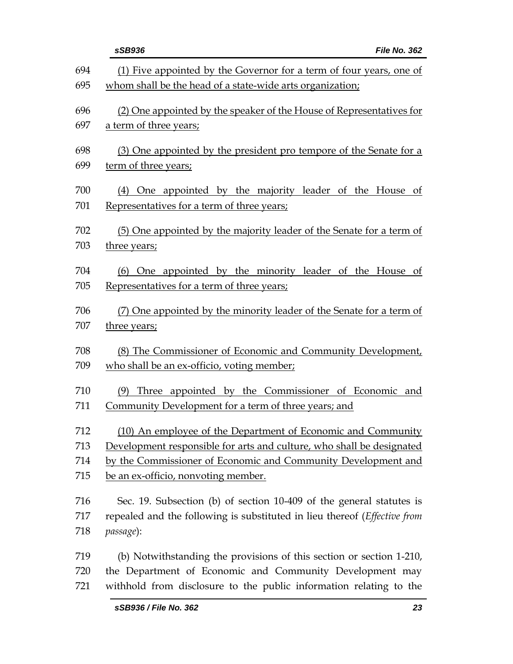|            | File No. 362<br>sSB936                                                                                                           |
|------------|----------------------------------------------------------------------------------------------------------------------------------|
| 694        | (1) Five appointed by the Governor for a term of four years, one of                                                              |
| 695        | whom shall be the head of a state-wide arts organization;                                                                        |
| 696        | (2) One appointed by the speaker of the House of Representatives for                                                             |
| 697        | a term of three years;                                                                                                           |
| 698        | (3) One appointed by the president pro tempore of the Senate for a                                                               |
| 699        | term of three years;                                                                                                             |
| 700        | (4) One appointed by the majority leader of the House of                                                                         |
| 701        | Representatives for a term of three years;                                                                                       |
| 702        | (5) One appointed by the majority leader of the Senate for a term of                                                             |
| 703        | three years;                                                                                                                     |
| 704        | (6) One appointed by the minority leader of the House of                                                                         |
| 705        | Representatives for a term of three years;                                                                                       |
| 706        | (7) One appointed by the minority leader of the Senate for a term of                                                             |
| 707        | three years;                                                                                                                     |
| 708        | (8) The Commissioner of Economic and Community Development,                                                                      |
| 709        | who shall be an ex-officio, voting member,                                                                                       |
| 710        | (9) Three appointed by the Commissioner of Economic and                                                                          |
| 711        | Community Development for a term of three years; and                                                                             |
| 712        | (10) An employee of the Department of Economic and Community                                                                     |
| 713        | Development responsible for arts and culture, who shall be designated                                                            |
| 714<br>715 | by the Commissioner of Economic and Community Development and<br>be an ex-officio, nonvoting member.                             |
|            |                                                                                                                                  |
| 716        | Sec. 19. Subsection (b) of section 10-409 of the general statutes is                                                             |
| 717<br>718 | repealed and the following is substituted in lieu thereof ( <i>Effective from</i><br>passage):                                   |
|            |                                                                                                                                  |
| 719<br>720 | (b) Notwithstanding the provisions of this section or section 1-210,<br>the Department of Economic and Community Development may |
| 721        | withhold from disclosure to the public information relating to the                                                               |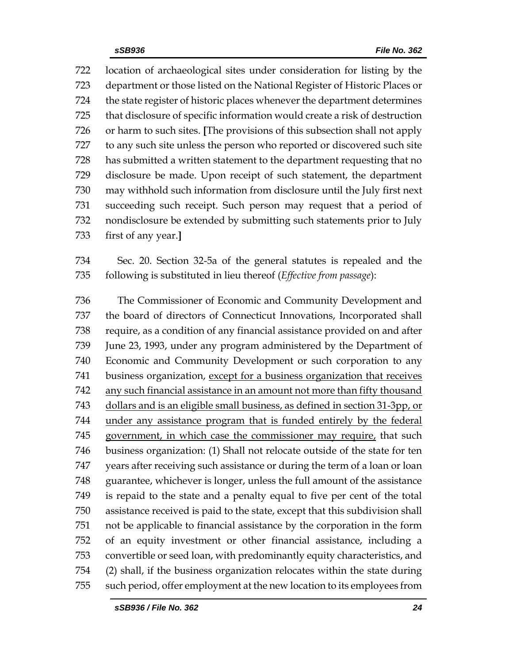location of archaeological sites under consideration for listing by the department or those listed on the National Register of Historic Places or the state register of historic places whenever the department determines that disclosure of specific information would create a risk of destruction or harm to such sites. **[**The provisions of this subsection shall not apply to any such site unless the person who reported or discovered such site has submitted a written statement to the department requesting that no disclosure be made. Upon receipt of such statement, the department may withhold such information from disclosure until the July first next succeeding such receipt. Such person may request that a period of nondisclosure be extended by submitting such statements prior to July first of any year.**]**

 Sec. 20. Section 32-5a of the general statutes is repealed and the following is substituted in lieu thereof (*Effective from passage*):

 The Commissioner of Economic and Community Development and the board of directors of Connecticut Innovations, Incorporated shall require, as a condition of any financial assistance provided on and after June 23, 1993, under any program administered by the Department of Economic and Community Development or such corporation to any business organization, except for a business organization that receives any such financial assistance in an amount not more than fifty thousand dollars and is an eligible small business, as defined in section 31-3pp, or under any assistance program that is funded entirely by the federal government, in which case the commissioner may require, that such business organization: (1) Shall not relocate outside of the state for ten years after receiving such assistance or during the term of a loan or loan guarantee, whichever is longer, unless the full amount of the assistance is repaid to the state and a penalty equal to five per cent of the total assistance received is paid to the state, except that this subdivision shall not be applicable to financial assistance by the corporation in the form of an equity investment or other financial assistance, including a convertible or seed loan, with predominantly equity characteristics, and (2) shall, if the business organization relocates within the state during such period, offer employment at the new location to its employees from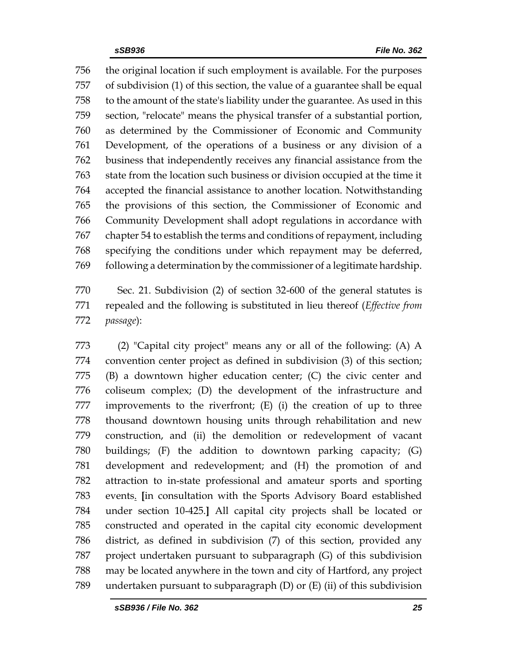the original location if such employment is available. For the purposes of subdivision (1) of this section, the value of a guarantee shall be equal to the amount of the state's liability under the guarantee. As used in this section, "relocate" means the physical transfer of a substantial portion, as determined by the Commissioner of Economic and Community Development, of the operations of a business or any division of a business that independently receives any financial assistance from the state from the location such business or division occupied at the time it accepted the financial assistance to another location. Notwithstanding the provisions of this section, the Commissioner of Economic and Community Development shall adopt regulations in accordance with chapter 54 to establish the terms and conditions of repayment, including specifying the conditions under which repayment may be deferred, following a determination by the commissioner of a legitimate hardship.

 Sec. 21. Subdivision (2) of section 32-600 of the general statutes is repealed and the following is substituted in lieu thereof (*Effective from passage*):

 (2) "Capital city project" means any or all of the following: (A) A convention center project as defined in subdivision (3) of this section; (B) a downtown higher education center; (C) the civic center and coliseum complex; (D) the development of the infrastructure and improvements to the riverfront; (E) (i) the creation of up to three thousand downtown housing units through rehabilitation and new construction, and (ii) the demolition or redevelopment of vacant buildings; (F) the addition to downtown parking capacity; (G) development and redevelopment; and (H) the promotion of and attraction to in-state professional and amateur sports and sporting events. **[**in consultation with the Sports Advisory Board established under section 10-425.**]** All capital city projects shall be located or constructed and operated in the capital city economic development district, as defined in subdivision (7) of this section, provided any project undertaken pursuant to subparagraph (G) of this subdivision may be located anywhere in the town and city of Hartford, any project undertaken pursuant to subparagraph (D) or (E) (ii) of this subdivision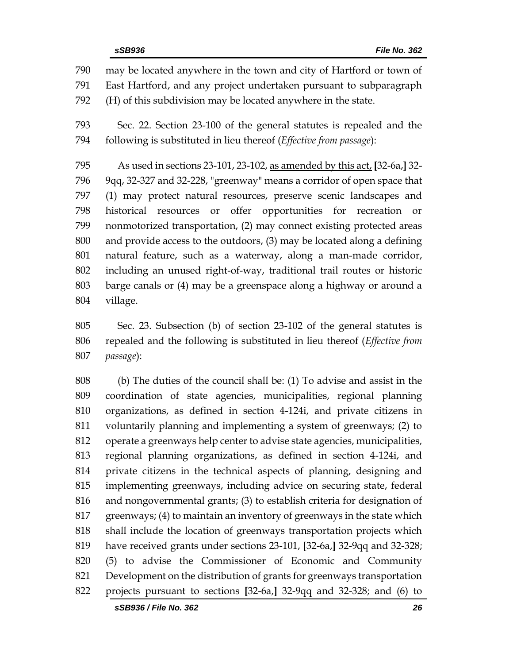may be located anywhere in the town and city of Hartford or town of East Hartford, and any project undertaken pursuant to subparagraph (H) of this subdivision may be located anywhere in the state. Sec. 22. Section 23-100 of the general statutes is repealed and the following is substituted in lieu thereof (*Effective from passage*): As used in sections 23-101, 23-102, as amended by this act, **[**32-6a,**]** 32- 9qq, 32-327 and 32-228, "greenway" means a corridor of open space that (1) may protect natural resources, preserve scenic landscapes and historical resources or offer opportunities for recreation or nonmotorized transportation, (2) may connect existing protected areas and provide access to the outdoors, (3) may be located along a defining natural feature, such as a waterway, along a man-made corridor, including an unused right-of-way, traditional trail routes or historic barge canals or (4) may be a greenspace along a highway or around a village.

 Sec. 23. Subsection (b) of section 23-102 of the general statutes is repealed and the following is substituted in lieu thereof (*Effective from passage*):

 (b) The duties of the council shall be: (1) To advise and assist in the coordination of state agencies, municipalities, regional planning organizations, as defined in section 4-124i, and private citizens in voluntarily planning and implementing a system of greenways; (2) to operate a greenways help center to advise state agencies, municipalities, regional planning organizations, as defined in section 4-124i, and private citizens in the technical aspects of planning, designing and implementing greenways, including advice on securing state, federal and nongovernmental grants; (3) to establish criteria for designation of greenways; (4) to maintain an inventory of greenways in the state which shall include the location of greenways transportation projects which have received grants under sections 23-101, **[**32-6a,**]** 32-9qq and 32-328; (5) to advise the Commissioner of Economic and Community Development on the distribution of grants for greenways transportation projects pursuant to sections **[**32-6a,**]** 32-9qq and 32-328; and (6) to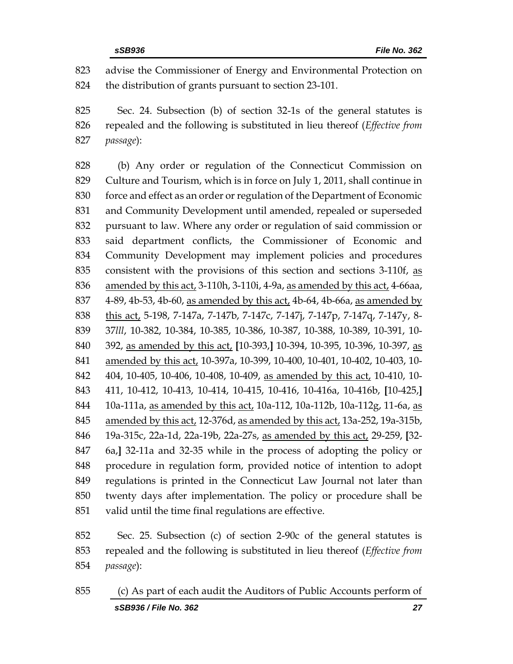advise the Commissioner of Energy and Environmental Protection on the distribution of grants pursuant to section 23-101.

 Sec. 24. Subsection (b) of section 32-1s of the general statutes is repealed and the following is substituted in lieu thereof (*Effective from passage*):

 (b) Any order or regulation of the Connecticut Commission on Culture and Tourism, which is in force on July 1, 2011, shall continue in force and effect as an order or regulation of the Department of Economic and Community Development until amended, repealed or superseded pursuant to law. Where any order or regulation of said commission or said department conflicts, the Commissioner of Economic and Community Development may implement policies and procedures 835 consistent with the provisions of this section and sections 3-110f, as amended by this act, 3-110h, 3-110i, 4-9a, as amended by this act, 4-66aa, 4-89, 4b-53, 4b-60, as amended by this act, 4b-64, 4b-66a, as amended by this act, 5-198, 7-147a, 7-147b, 7-147c, 7-147j, 7-147p, 7-147q, 7-147y, 8- 37*lll*, 10-382, 10-384, 10-385, 10-386, 10-387, 10-388, 10-389, 10-391, 10- 392, as amended by this act, **[**10-393,**]** 10-394, 10-395, 10-396, 10-397, as amended by this act, 10-397a, 10-399, 10-400, 10-401, 10-402, 10-403, 10- 404, 10-405, 10-406, 10-408, 10-409, as amended by this act, 10-410, 10- 411, 10-412, 10-413, 10-414, 10-415, 10-416, 10-416a, 10-416b, **[**10-425,**]** 10a-111a, as amended by this act, 10a-112, 10a-112b, 10a-112g, 11-6a, as amended by this act, 12-376d, as amended by this act, 13a-252, 19a-315b, 19a-315c, 22a-1d, 22a-19b, 22a-27s, as amended by this act, 29-259, **[**32- 6a,**]** 32-11a and 32-35 while in the process of adopting the policy or procedure in regulation form, provided notice of intention to adopt regulations is printed in the Connecticut Law Journal not later than twenty days after implementation. The policy or procedure shall be valid until the time final regulations are effective.

 Sec. 25. Subsection (c) of section 2-90c of the general statutes is repealed and the following is substituted in lieu thereof (*Effective from passage*):

*sSB936 / File No. 362 27* (c) As part of each audit the Auditors of Public Accounts perform of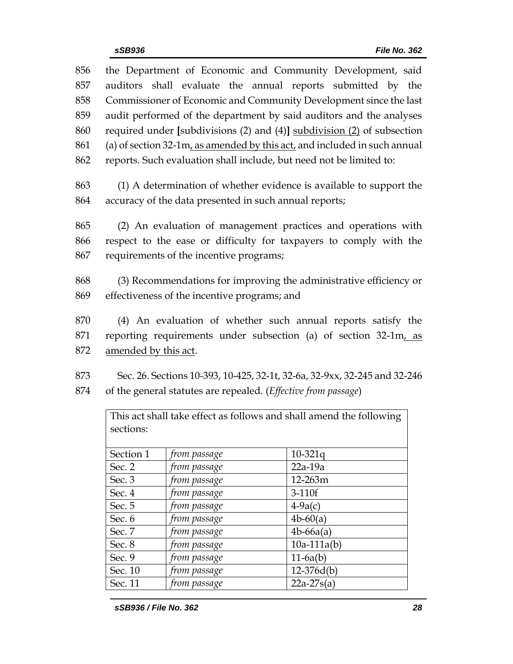| 856 |                                                                                |              | the Department of Economic and Community Development, said                |  |  |
|-----|--------------------------------------------------------------------------------|--------------|---------------------------------------------------------------------------|--|--|
| 857 | auditors shall evaluate the annual reports submitted by the                    |              |                                                                           |  |  |
| 858 | Commissioner of Economic and Community Development since the last              |              |                                                                           |  |  |
| 859 | audit performed of the department by said auditors and the analyses            |              |                                                                           |  |  |
| 860 |                                                                                |              |                                                                           |  |  |
| 861 | required under [subdivisions $(2)$ and $(4)$ ] subdivision $(2)$ of subsection |              |                                                                           |  |  |
|     | (a) of section 32-1m, as amended by this act, and included in such annual      |              |                                                                           |  |  |
| 862 | reports. Such evaluation shall include, but need not be limited to:            |              |                                                                           |  |  |
| 863 | (1) A determination of whether evidence is available to support the            |              |                                                                           |  |  |
| 864 | accuracy of the data presented in such annual reports;                         |              |                                                                           |  |  |
|     |                                                                                |              |                                                                           |  |  |
| 865 | (2) An evaluation of management practices and operations with                  |              |                                                                           |  |  |
| 866 |                                                                                |              | respect to the ease or difficulty for taxpayers to comply with the        |  |  |
| 867 | requirements of the incentive programs;                                        |              |                                                                           |  |  |
|     |                                                                                |              |                                                                           |  |  |
| 868 |                                                                                |              | (3) Recommendations for improving the administrative efficiency or        |  |  |
| 869 | effectiveness of the incentive programs; and                                   |              |                                                                           |  |  |
|     |                                                                                |              |                                                                           |  |  |
| 870 | (4) An evaluation of whether such annual reports satisfy the                   |              |                                                                           |  |  |
| 871 | reporting requirements under subsection (a) of section 32-1m, as               |              |                                                                           |  |  |
| 872 | amended by this act.                                                           |              |                                                                           |  |  |
|     |                                                                                |              |                                                                           |  |  |
| 873 |                                                                                |              | Sec. 26. Sections 10-393, 10-425, 32-1t, 32-6a, 32-9xx, 32-245 and 32-246 |  |  |
| 874 |                                                                                |              | of the general statutes are repealed. (Effective from passage)            |  |  |
|     |                                                                                |              |                                                                           |  |  |
|     |                                                                                |              | This act shall take effect as follows and shall amend the following       |  |  |
|     | sections:                                                                      |              |                                                                           |  |  |
|     | Section 1                                                                      | from passage | $10 - 321q$                                                               |  |  |
|     | Sec. 2                                                                         | from passage | $22a-19a$                                                                 |  |  |
|     | Sec. 3                                                                         | from passage | 12-263m                                                                   |  |  |
|     | Sec. 4                                                                         | from passage | 3-110f                                                                    |  |  |
|     | Sec. 5                                                                         | from passage | $4-9a(c)$                                                                 |  |  |
|     | Sec. 6                                                                         | from passage | $4b - 60(a)$                                                              |  |  |
|     | Sec. 7                                                                         | from passage | $4b-66a(a)$                                                               |  |  |
|     | Sec. 8                                                                         | from passage | $10a-111a(b)$                                                             |  |  |
|     | Sec. 9                                                                         | from passage | $11-6a(b)$                                                                |  |  |
|     | Sec. 10                                                                        | from passage | $12-376d(b)$                                                              |  |  |

Sec. 11 *from passage* 22a-27s(a)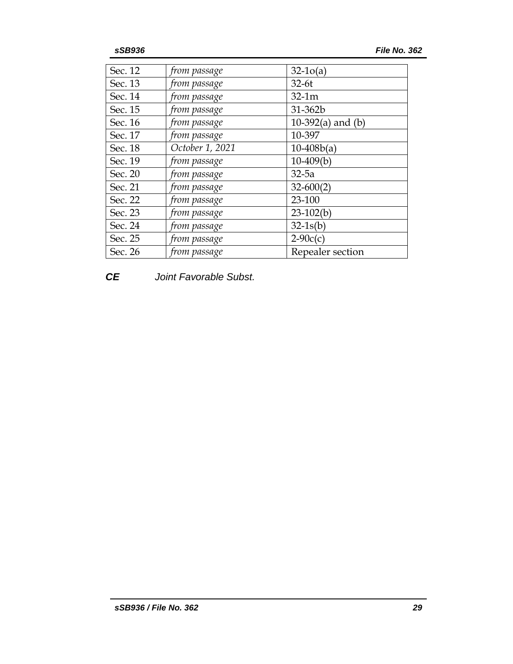| Sec. 12 | from passage    | $32-10(a)$          |
|---------|-----------------|---------------------|
| Sec. 13 | from passage    | $32-6t$             |
| Sec. 14 | from passage    | $32-1m$             |
| Sec. 15 | from passage    | 31-362b             |
| Sec. 16 | from passage    | 10-392(a) and $(b)$ |
| Sec. 17 | from passage    | 10-397              |
| Sec. 18 | October 1, 2021 | $10-408b(a)$        |
| Sec. 19 | from passage    | $10-409(b)$         |
| Sec. 20 | from passage    | $32-5a$             |
| Sec. 21 | from passage    | $32 - 600(2)$       |
| Sec. 22 | from passage    | 23-100              |
| Sec. 23 | from passage    | $23-102(b)$         |
| Sec. 24 | from passage    | $32-1s(b)$          |
| Sec. 25 | from passage    | $2-90c(c)$          |
| Sec. 26 | from passage    | Repealer section    |

# *CE Joint Favorable Subst.*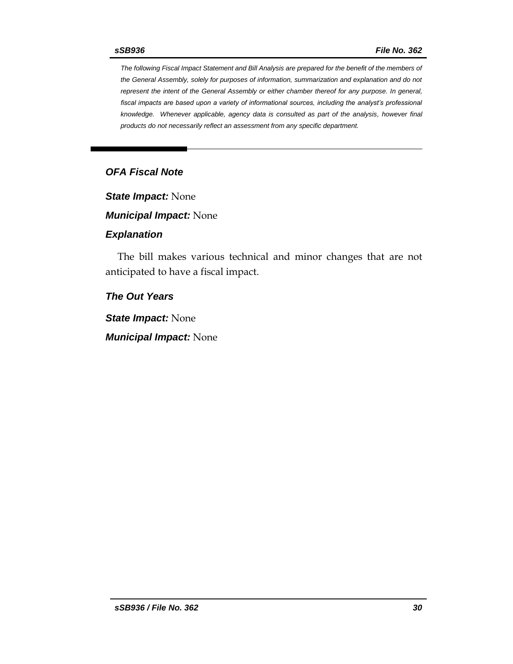*The following Fiscal Impact Statement and Bill Analysis are prepared for the benefit of the members of the General Assembly, solely for purposes of information, summarization and explanation and do not represent the intent of the General Assembly or either chamber thereof for any purpose. In general, fiscal impacts are based upon a variety of informational sources, including the analyst's professional knowledge. Whenever applicable, agency data is consulted as part of the analysis, however final products do not necessarily reflect an assessment from any specific department.*

# *OFA Fiscal Note*

*State Impact:* None

*Municipal Impact:* None

#### *Explanation*

The bill makes various technical and minor changes that are not anticipated to have a fiscal impact.

## *The Out Years*

*State Impact:* None

*Municipal Impact:* None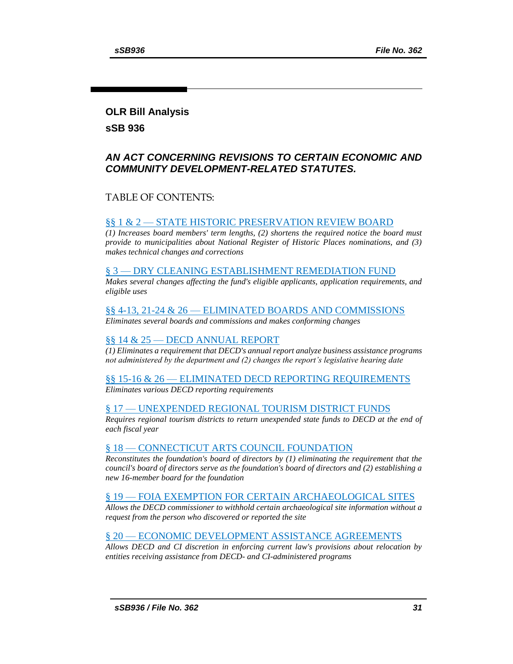# <span id="page-30-0"></span>**OLR Bill Analysis**

### **sSB 936**

# *AN ACT CONCERNING REVISIONS TO CERTAIN ECONOMIC AND COMMUNITY DEVELOPMENT-RELATED STATUTES.*

## TABLE OF CONTENTS:

#### §§ 1 & 2 — [STATE HISTORIC PRESERVATION REVIEW BOARD](#page-30-0)

*[\(1\) Increases board members' term lengths, \(2\) shortens the required notice the board must](#page-31-0)  [provide to municipalities about National Register of Historic Places nominations, and \(3\)](#page-31-0)  [makes technical changes and corrections](#page-31-0)*

#### § 3 — [DRY CLEANING ESTABLISHMENT REMEDIATION FUND](#page-31-1)

*[Makes several changes affecting the fund's eligible applicants, application requirements, and](#page-31-2)  [eligible uses](#page-31-2)*

#### §§ 4-13, 21-24 & 26 — [ELIMINATED BOARDS AND COMMISSIONS](#page-33-0)

*[Eliminates several boards and commissions and makes conforming changes](#page-33-1)*

#### §§ 14 & 25 — [DECD ANNUAL REPORT](#page-33-2)

*[\(1\) Eliminates a requirement that DECD's annual report analyze business assistance programs](#page-34-0)  [not administered by the department and \(2\) changes the report's legislative hearing date](#page-34-0)*

#### §§ 15-16 & 26 — [ELIMINATED DECD REPORTING REQUIREMENTS](#page-34-1) *[Eliminates various DECD reporting requirements](#page-34-2)*

#### § 17 — [UNEXPENDED REGIONAL TOURISM DISTRICT FUNDS](#page-35-0)

*[Requires regional tourism districts to return unexpended state funds to DECD at the end of](#page-35-1)  [each fiscal year](#page-35-1)*

#### § 18 — [CONNECTICUT ARTS COUNCIL FOUNDATION](#page-35-2)

*[Reconstitutes the foundation's board of directors by \(1\) eliminating the requirement that the](#page-35-3)  [council's board of directors serve as the foundation's board of directors and \(2\) establishing a](#page-35-3)  [new 16-member board for the foundation](#page-35-3)*

#### § 19 — [FOIA EXEMPTION FOR CERTAIN ARCHAEOLOGICAL SITES](#page-36-0)

*[Allows the DECD commissioner to withhold certain archaeological site information without a](#page-36-1)  [request from the person who discovered or reported the site](#page-36-1)*

#### § 20 — [ECONOMIC DEVELOPMENT ASSISTANCE AGREEMENTS](#page-36-2)

*[Allows DECD and CI discretion in enforcing current law's provisions about relocation by](#page-36-3)  [entities receiving assistance from DECD-](#page-36-3) and CI-administered programs*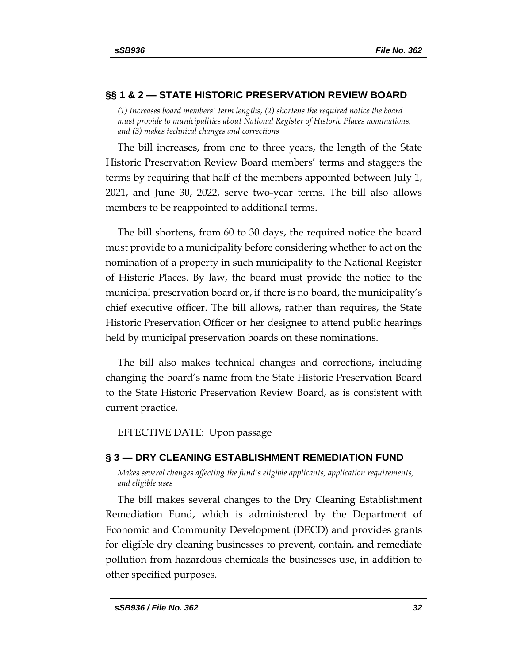# **§§ 1 & 2 — STATE HISTORIC PRESERVATION REVIEW BOARD**

<span id="page-31-0"></span>*(1) Increases board members' term lengths, (2) shortens the required notice the board must provide to municipalities about National Register of Historic Places nominations, and (3) makes technical changes and corrections*

The bill increases, from one to three years, the length of the State Historic Preservation Review Board members' terms and staggers the terms by requiring that half of the members appointed between July 1, 2021, and June 30, 2022, serve two-year terms. The bill also allows members to be reappointed to additional terms.

The bill shortens, from 60 to 30 days, the required notice the board must provide to a municipality before considering whether to act on the nomination of a property in such municipality to the National Register of Historic Places. By law, the board must provide the notice to the municipal preservation board or, if there is no board, the municipality's chief executive officer. The bill allows, rather than requires, the State Historic Preservation Officer or her designee to attend public hearings held by municipal preservation boards on these nominations.

The bill also makes technical changes and corrections, including changing the board's name from the State Historic Preservation Board to the State Historic Preservation Review Board, as is consistent with current practice.

EFFECTIVE DATE: Upon passage

# <span id="page-31-1"></span>**§ 3 — DRY CLEANING ESTABLISHMENT REMEDIATION FUND**

<span id="page-31-2"></span>*Makes several changes affecting the fund's eligible applicants, application requirements, and eligible uses*

The bill makes several changes to the Dry Cleaning Establishment Remediation Fund, which is administered by the Department of Economic and Community Development (DECD) and provides grants for eligible dry cleaning businesses to prevent, contain, and remediate pollution from hazardous chemicals the businesses use, in addition to other specified purposes.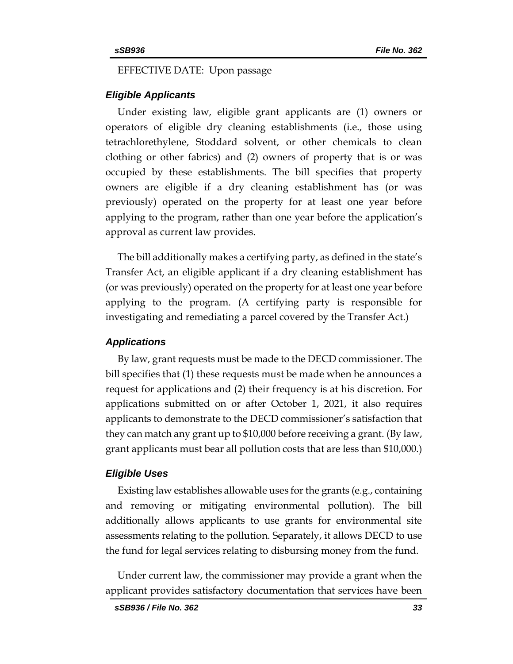#### EFFECTIVE DATE: Upon passage

#### *Eligible Applicants*

Under existing law, eligible grant applicants are (1) owners or operators of eligible dry cleaning establishments (i.e., those using tetrachlorethylene, Stoddard solvent, or other chemicals to clean clothing or other fabrics) and (2) owners of property that is or was occupied by these establishments. The bill specifies that property owners are eligible if a dry cleaning establishment has (or was previously) operated on the property for at least one year before applying to the program, rather than one year before the application's approval as current law provides.

The bill additionally makes a certifying party, as defined in the state's Transfer Act, an eligible applicant if a dry cleaning establishment has (or was previously) operated on the property for at least one year before applying to the program. (A certifying party is responsible for investigating and remediating a parcel covered by the Transfer Act.)

#### *Applications*

By law, grant requests must be made to the DECD commissioner. The bill specifies that (1) these requests must be made when he announces a request for applications and (2) their frequency is at his discretion. For applications submitted on or after October 1, 2021, it also requires applicants to demonstrate to the DECD commissioner's satisfaction that they can match any grant up to \$10,000 before receiving a grant. (By law, grant applicants must bear all pollution costs that are less than \$10,000.)

#### *Eligible Uses*

Existing law establishes allowable uses for the grants (e.g., containing and removing or mitigating environmental pollution). The bill additionally allows applicants to use grants for environmental site assessments relating to the pollution. Separately, it allows DECD to use the fund for legal services relating to disbursing money from the fund.

Under current law, the commissioner may provide a grant when the applicant provides satisfactory documentation that services have been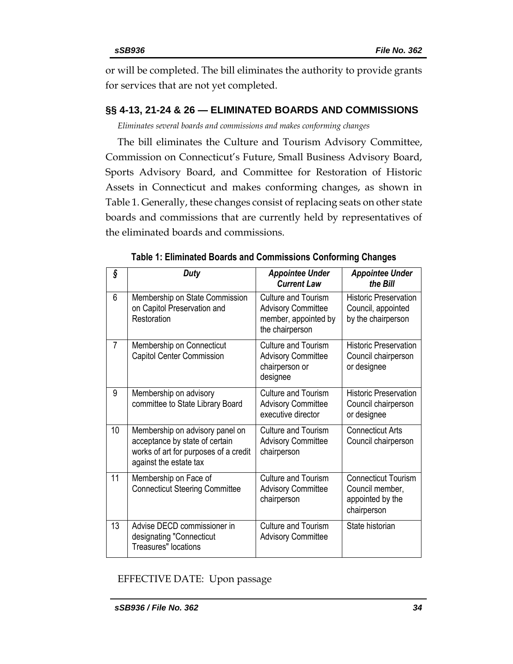<span id="page-33-2"></span>or will be completed. The bill eliminates the authority to provide grants for services that are not yet completed.

# <span id="page-33-0"></span>**§§ 4-13, 21-24 & 26 — ELIMINATED BOARDS AND COMMISSIONS**

<span id="page-33-1"></span>*Eliminates several boards and commissions and makes conforming changes*

The bill eliminates the Culture and Tourism Advisory Committee, Commission on Connecticut's Future, Small Business Advisory Board, Sports Advisory Board, and Committee for Restoration of Historic Assets in Connecticut and makes conforming changes, as shown in Table 1. Generally, these changes consist of replacing seats on other state boards and commissions that are currently held by representatives of the eliminated boards and commissions.

| ş              | <b>Duty</b>                                                                                                                          | <b>Appointee Under</b><br><b>Current Law</b>                                                       | <b>Appointee Under</b><br>the Bill                                               |
|----------------|--------------------------------------------------------------------------------------------------------------------------------------|----------------------------------------------------------------------------------------------------|----------------------------------------------------------------------------------|
| 6              | Membership on State Commission<br>on Capitol Preservation and<br>Restoration                                                         | <b>Culture and Tourism</b><br><b>Advisory Committee</b><br>member, appointed by<br>the chairperson | <b>Historic Preservation</b><br>Council, appointed<br>by the chairperson         |
| $\overline{7}$ | Membership on Connecticut<br>Capitol Center Commission                                                                               | <b>Culture and Tourism</b><br><b>Advisory Committee</b><br>chairperson or<br>designee              | <b>Historic Preservation</b><br>Council chairperson<br>or designee               |
| 9              | Membership on advisory<br>committee to State Library Board                                                                           | <b>Culture and Tourism</b><br><b>Advisory Committee</b><br>executive director                      | <b>Historic Preservation</b><br>Council chairperson<br>or designee               |
| 10             | Membership on advisory panel on<br>acceptance by state of certain<br>works of art for purposes of a credit<br>against the estate tax | <b>Culture and Tourism</b><br><b>Advisory Committee</b><br>chairperson                             | <b>Connecticut Arts</b><br>Council chairperson                                   |
| 11             | Membership on Face of<br><b>Connecticut Steering Committee</b>                                                                       | <b>Culture and Tourism</b><br><b>Advisory Committee</b><br>chairperson                             | <b>Connecticut Tourism</b><br>Council member,<br>appointed by the<br>chairperson |
| 13             | Advise DECD commissioner in<br>designating "Connecticut<br><b>Treasures"</b> locations                                               | <b>Culture and Tourism</b><br><b>Advisory Committee</b>                                            | State historian                                                                  |

|  | Table 1: Eliminated Boards and Commissions Conforming Changes |  |
|--|---------------------------------------------------------------|--|
|  |                                                               |  |

EFFECTIVE DATE: Upon passage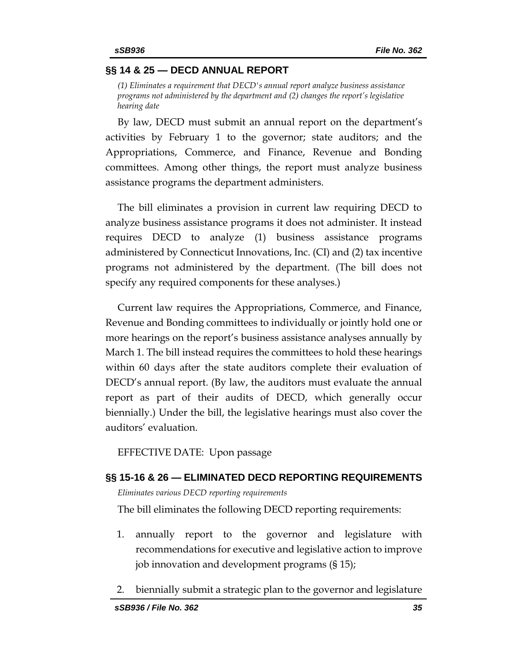### **§§ 14 & 25 — DECD ANNUAL REPORT**

<span id="page-34-0"></span>*(1) Eliminates a requirement that DECD's annual report analyze business assistance programs not administered by the department and (2) changes the report's legislative hearing date*

By law, DECD must submit an annual report on the department's activities by February 1 to the governor; state auditors; and the Appropriations, Commerce, and Finance, Revenue and Bonding committees. Among other things, the report must analyze business assistance programs the department administers.

The bill eliminates a provision in current law requiring DECD to analyze business assistance programs it does not administer. It instead requires DECD to analyze (1) business assistance programs administered by Connecticut Innovations, Inc. (CI) and (2) tax incentive programs not administered by the department. (The bill does not specify any required components for these analyses.)

Current law requires the Appropriations, Commerce, and Finance, Revenue and Bonding committees to individually or jointly hold one or more hearings on the report's business assistance analyses annually by March 1. The bill instead requires the committees to hold these hearings within 60 days after the state auditors complete their evaluation of DECD's annual report. (By law, the auditors must evaluate the annual report as part of their audits of DECD, which generally occur biennially.) Under the bill, the legislative hearings must also cover the auditors' evaluation.

EFFECTIVE DATE: Upon passage

#### <span id="page-34-2"></span><span id="page-34-1"></span>**§§ 15-16 & 26 — ELIMINATED DECD REPORTING REQUIREMENTS**

*Eliminates various DECD reporting requirements*

The bill eliminates the following DECD reporting requirements:

- 1. annually report to the governor and legislature with recommendations for executive and legislative action to improve job innovation and development programs (§ 15);
- 2. biennially submit a strategic plan to the governor and legislature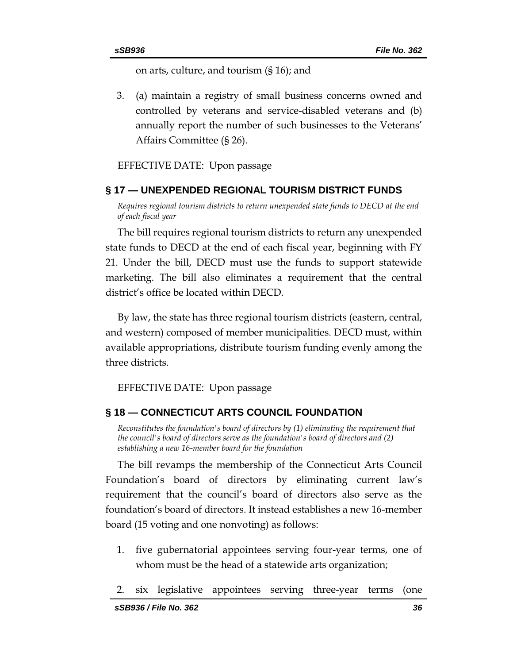on arts, culture, and tourism (§ 16); and

3. (a) maintain a registry of small business concerns owned and controlled by veterans and service-disabled veterans and (b) annually report the number of such businesses to the Veterans' Affairs Committee (§ 26).

#### EFFECTIVE DATE: Upon passage

#### <span id="page-35-0"></span>**§ 17 — UNEXPENDED REGIONAL TOURISM DISTRICT FUNDS**

<span id="page-35-1"></span>*Requires regional tourism districts to return unexpended state funds to DECD at the end of each fiscal year*

The bill requires regional tourism districts to return any unexpended state funds to DECD at the end of each fiscal year, beginning with FY 21. Under the bill, DECD must use the funds to support statewide marketing. The bill also eliminates a requirement that the central district's office be located within DECD.

By law, the state has three regional tourism districts (eastern, central, and western) composed of member municipalities. DECD must, within available appropriations, distribute tourism funding evenly among the three districts.

EFFECTIVE DATE: Upon passage

#### <span id="page-35-2"></span>**§ 18 — CONNECTICUT ARTS COUNCIL FOUNDATION**

<span id="page-35-3"></span>*Reconstitutes the foundation's board of directors by (1) eliminating the requirement that the council's board of directors serve as the foundation's board of directors and (2) establishing a new 16-member board for the foundation*

The bill revamps the membership of the Connecticut Arts Council Foundation's board of directors by eliminating current law's requirement that the council's board of directors also serve as the foundation's board of directors. It instead establishes a new 16-member board (15 voting and one nonvoting) as follows:

- 1. five gubernatorial appointees serving four-year terms, one of whom must be the head of a statewide arts organization;
- 2. six legislative appointees serving three-year terms (one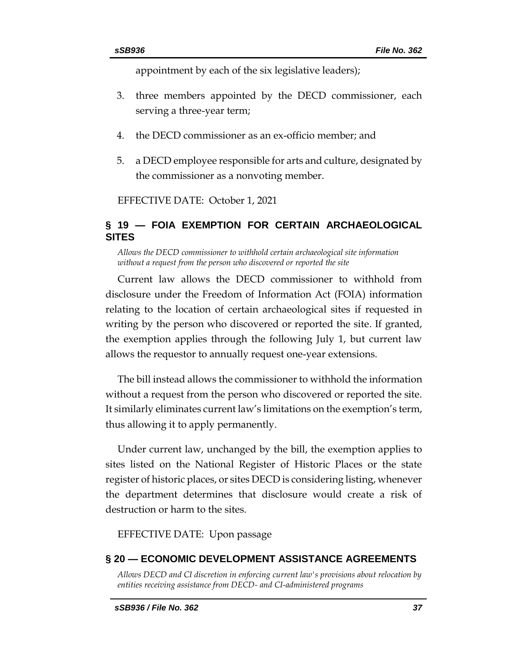appointment by each of the six legislative leaders);

- 3. three members appointed by the DECD commissioner, each serving a three-year term;
- 4. the DECD commissioner as an ex-officio member; and
- 5. a DECD employee responsible for arts and culture, designated by the commissioner as a nonvoting member.

EFFECTIVE DATE: October 1, 2021

# <span id="page-36-0"></span>**§ 19 — FOIA EXEMPTION FOR CERTAIN ARCHAEOLOGICAL SITES**

<span id="page-36-1"></span>*Allows the DECD commissioner to withhold certain archaeological site information without a request from the person who discovered or reported the site*

Current law allows the DECD commissioner to withhold from disclosure under the Freedom of Information Act (FOIA) information relating to the location of certain archaeological sites if requested in writing by the person who discovered or reported the site. If granted, the exemption applies through the following July 1, but current law allows the requestor to annually request one-year extensions.

The bill instead allows the commissioner to withhold the information without a request from the person who discovered or reported the site. It similarly eliminates current law's limitations on the exemption's term, thus allowing it to apply permanently.

Under current law, unchanged by the bill, the exemption applies to sites listed on the National Register of Historic Places or the state register of historic places, or sites DECD is considering listing, whenever the department determines that disclosure would create a risk of destruction or harm to the sites.

EFFECTIVE DATE: Upon passage

### <span id="page-36-2"></span>**§ 20 — ECONOMIC DEVELOPMENT ASSISTANCE AGREEMENTS**

<span id="page-36-3"></span>*Allows DECD and CI discretion in enforcing current law's provisions about relocation by entities receiving assistance from DECD- and CI-administered programs*